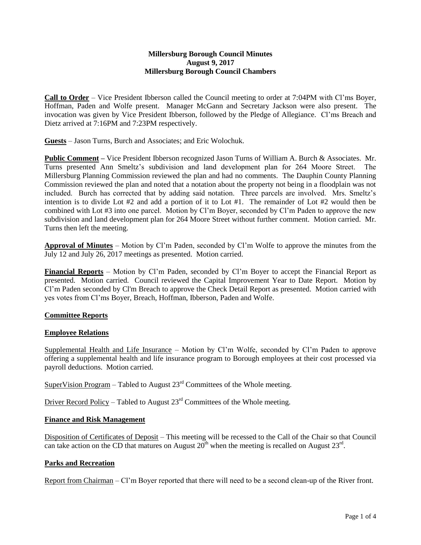#### **Millersburg Borough Council Minutes August 9, 2017 Millersburg Borough Council Chambers**

**Call to Order** – Vice President Ibberson called the Council meeting to order at 7:04PM with Cl'ms Boyer, Hoffman, Paden and Wolfe present. Manager McGann and Secretary Jackson were also present. The invocation was given by Vice President Ibberson, followed by the Pledge of Allegiance. Cl'ms Breach and Dietz arrived at 7:16PM and 7:23PM respectively.

**Guests** – Jason Turns, Burch and Associates; and Eric Wolochuk.

**Public Comment –** Vice President Ibberson recognized Jason Turns of William A. Burch & Associates. Mr. Turns presented Ann Smeltz's subdivision and land development plan for 264 Moore Street. The Millersburg Planning Commission reviewed the plan and had no comments. The Dauphin County Planning Commission reviewed the plan and noted that a notation about the property not being in a floodplain was not included. Burch has corrected that by adding said notation. Three parcels are involved. Mrs. Smeltz's intention is to divide Lot #2 and add a portion of it to Lot #1. The remainder of Lot #2 would then be combined with Lot #3 into one parcel. Motion by Cl'm Boyer, seconded by Cl'm Paden to approve the new subdivision and land development plan for 264 Moore Street without further comment. Motion carried. Mr. Turns then left the meeting.

**Approval of Minutes** – Motion by Cl'm Paden, seconded by Cl'm Wolfe to approve the minutes from the July 12 and July 26, 2017 meetings as presented. Motion carried.

**Financial Reports** – Motion by Cl'm Paden, seconded by Cl'm Boyer to accept the Financial Report as presented. Motion carried. Council reviewed the Capital Improvement Year to Date Report. Motion by Cl'm Paden seconded by Cl'm Breach to approve the Check Detail Report as presented. Motion carried with yes votes from Cl'ms Boyer, Breach, Hoffman, Ibberson, Paden and Wolfe.

### **Committee Reports**

### **Employee Relations**

Supplemental Health and Life Insurance – Motion by Cl'm Wolfe, seconded by Cl'm Paden to approve offering a supplemental health and life insurance program to Borough employees at their cost processed via payroll deductions. Motion carried.

SuperVision Program – Tabled to August  $23<sup>rd</sup>$  Committees of the Whole meeting.

Driver Record Policy – Tabled to August  $23<sup>rd</sup>$  Committees of the Whole meeting.

## **Finance and Risk Management**

Disposition of Certificates of Deposit – This meeting will be recessed to the Call of the Chair so that Council can take action on the CD that matures on August  $20^{th}$  when the meeting is recalled on August  $23^{rd}$ .

### **Parks and Recreation**

Report from Chairman – Cl'm Boyer reported that there will need to be a second clean-up of the River front.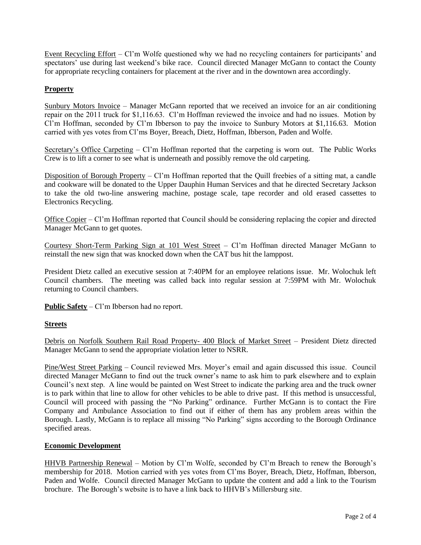Event Recycling Effort – Cl'm Wolfe questioned why we had no recycling containers for participants' and spectators' use during last weekend's bike race. Council directed Manager McGann to contact the County for appropriate recycling containers for placement at the river and in the downtown area accordingly.

# **Property**

Sunbury Motors Invoice – Manager McGann reported that we received an invoice for an air conditioning repair on the 2011 truck for \$1,116.63. Cl'm Hoffman reviewed the invoice and had no issues. Motion by Cl'm Hoffman, seconded by Cl'm Ibberson to pay the invoice to Sunbury Motors at \$1,116.63. Motion carried with yes votes from Cl'ms Boyer, Breach, Dietz, Hoffman, Ibberson, Paden and Wolfe.

Secretary's Office Carpeting – Cl'm Hoffman reported that the carpeting is worn out. The Public Works Crew is to lift a corner to see what is underneath and possibly remove the old carpeting.

Disposition of Borough Property –  $Cl<sup>2</sup>$ m Hoffman reported that the Quill freebies of a sitting mat, a candle and cookware will be donated to the Upper Dauphin Human Services and that he directed Secretary Jackson to take the old two-line answering machine, postage scale, tape recorder and old erased cassettes to Electronics Recycling.

Office Copier – Cl'm Hoffman reported that Council should be considering replacing the copier and directed Manager McGann to get quotes.

Courtesy Short-Term Parking Sign at 101 West Street – Cl'm Hoffman directed Manager McGann to reinstall the new sign that was knocked down when the CAT bus hit the lamppost.

President Dietz called an executive session at 7:40PM for an employee relations issue. Mr. Wolochuk left Council chambers. The meeting was called back into regular session at 7:59PM with Mr. Wolochuk returning to Council chambers.

**Public Safety** – Cl'm Ibberson had no report.

### **Streets**

Debris on Norfolk Southern Rail Road Property- 400 Block of Market Street – President Dietz directed Manager McGann to send the appropriate violation letter to NSRR.

Pine/West Street Parking – Council reviewed Mrs. Moyer's email and again discussed this issue. Council directed Manager McGann to find out the truck owner's name to ask him to park elsewhere and to explain Council's next step. A line would be painted on West Street to indicate the parking area and the truck owner is to park within that line to allow for other vehicles to be able to drive past. If this method is unsuccessful, Council will proceed with passing the "No Parking" ordinance. Further McGann is to contact the Fire Company and Ambulance Association to find out if either of them has any problem areas within the Borough. Lastly, McGann is to replace all missing "No Parking" signs according to the Borough Ordinance specified areas.

### **Economic Development**

HHVB Partnership Renewal – Motion by Cl'm Wolfe, seconded by Cl'm Breach to renew the Borough's membership for 2018. Motion carried with yes votes from Cl'ms Boyer, Breach, Dietz, Hoffman, Ibberson, Paden and Wolfe. Council directed Manager McGann to update the content and add a link to the Tourism brochure. The Borough's website is to have a link back to HHVB's Millersburg site.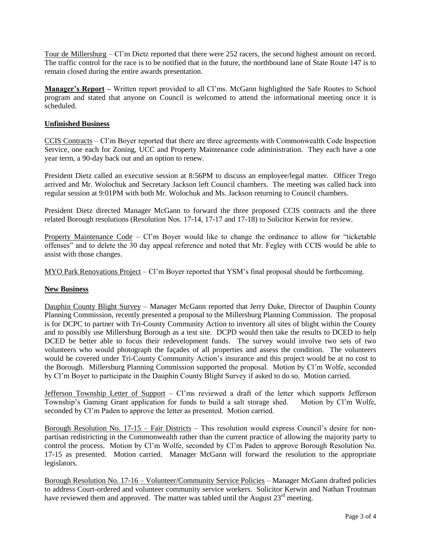Tour de Millersburg – Cl'm Dietz reported that there were 252 racers, the second highest amount on record. The traffic control for the race is to be notified that in the future, the northbound lane of State Route 147 is to remain closed during the entire awards presentation.

**Manager's Report –** Written report provided to all Cl'ms. McGann highlighted the Safe Routes to School program and stated that anyone on Council is welcomed to attend the informational meeting once it is scheduled.

## **Unfinished Business**

CCIS Contracts – Cl'm Boyer reported that there are three agreements with Commonwealth Code Inspection Service, one each for Zoning, UCC and Property Maintenance code administration. They each have a one year term, a 90-day back out and an option to renew.

President Dietz called an executive session at 8:56PM to discuss an employee/legal matter. Officer Trego arrived and Mr. Wolochuk and Secretary Jackson left Council chambers. The meeting was called back into regular session at 9:01PM with both Mr. Wolochuk and Ms. Jackson returning to Council chambers.

President Dietz directed Manager McGann to forward the three proposed CCIS contracts and the three related Borough resolutions (Resolution Nos. 17-14, 17-17 and 17-18) to Solicitor Kerwin for review.

Property Maintenance Code – Cl'm Boyer would like to change the ordinance to allow for "ticketable offenses" and to delete the 30 day appeal reference and noted that Mr. Fegley with CCIS would be able to assist with those changes.

MYO Park Renovations Project – Cl'm Boyer reported that YSM's final proposal should be forthcoming.

# **New Business**

Dauphin County Blight Survey – Manager McGann reported that Jerry Duke, Director of Dauphin County Planning Commission, recently presented a proposal to the Millersburg Planning Commission. The proposal is for DCPC to partner with Tri-County Community Action to inventory all sites of blight within the County and to possibly use Millersburg Borough as a test site. DCPD would then take the results to DCED to help DCED be better able to focus their redevelopment funds. The survey would involve two sets of two volunteers who would photograph the façades of all properties and assess the condition. The volunteers would be covered under Tri-County Community Action's insurance and this project would be at no cost to the Borough. Millersburg Planning Commission supported the proposal. Motion by Cl'm Wolfe, seconded by Cl'm Boyer to participate in the Dauphin County Blight Survey if asked to do so. Motion carried.

Jefferson Township Letter of Support – Cl'ms reviewed a draft of the letter which supports Jefferson Township's Gaming Grant application for funds to build a salt storage shed. Motion by Cl'm Wolfe, seconded by Cl'm Paden to approve the letter as presented. Motion carried.

Borough Resolution No. 17-15 – Fair Districts – This resolution would express Council's desire for nonpartisan redistricting in the Commonwealth rather than the current practice of allowing the majority party to control the process. Motion by Cl'm Wolfe, seconded by Cl'm Paden to approve Borough Resolution No. 17-15 as presented. Motion carried. Manager McGann will forward the resolution to the appropriate legislators.

Borough Resolution No. 17-16 – Volunteer/Community Service Policies – Manager McGann drafted policies to address Court-ordered and volunteer community service workers. Solicitor Kerwin and Nathan Troutman have reviewed them and approved. The matter was tabled until the August  $23<sup>rd</sup>$  meeting.